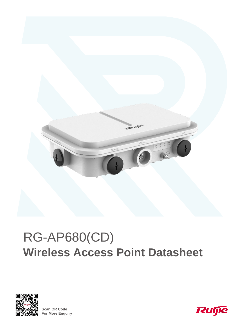

# RG-AP680(CD) **Wireless Access Point Datasheet**



**Scan QR Code For More Enquiry**

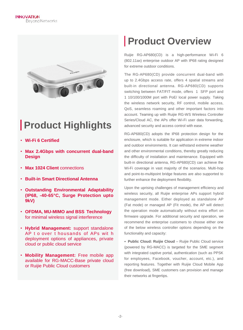

# **Product Highlights**

- **Wi-Fi 6 Certified**
- **Max 2.4Gbps with concurrent dual-band Design**
- **Max 1024 Client** connections
- **Built-in Smart Directional Antenna**
- **Outstanding Environmental Adaptability (IP68, -40-65°C, Surge Protection upto 9kV)**
- **OFDMA, MU-MIMO and BSS Technology** for minimal wireless signal interference
- **Hybrid Management:** support standalone AP t o over t housands of APs wit h deployment options of appliances, private cloud or public cloud service
- **Mobility Management:** Free mobile app available for RG-MACC-Base private cloud or Ruijie Public Cloud customers

## **Product Overview**

Ruijie RG-AP680(CD) is a high-performance Wi-Fi 6 (802.11ax) enterprise outdoor AP with IP68 rating designed for extreme outdoor conditions.

The RG-AP680(CD) provide concurrent dual-band with up to 2.4Gbps access rate, offers 4 spatial streams and built-in directional antenna. RG-AP680(CD) supports switching between FAT/FIT mode, offers 1 SFP port and 1 10/100/1000M port with PoE/ local power supply. Taking the wireless network security, RF control, mobile access, QoS, seamless roaming and other important factors into account. Teaming up with Ruijie RG-WS Wireless Controller Series/Cloud AC, the APs offer Wi-Fi user data forwarding, advanced security and access control with ease.

RG-AP680(CD) adopts the IP68 protection design for the enclosure, which is suitable for application in extreme indoor and outdoor environments. It can withstand extreme weather and other environmental conditions, thereby greatly reducing the difficulty of installation and maintenance. Equipped with built-in directional antenna, RG-AP680(CD) can achieve the Wi-Fi coverage in vast majority of the scenarios. Multi-hop and point-to-multipoint bridge features are also supported to further enhance the deployment flexibility.

Upon the uprising challenges of management efficiency and wireless security, all Ruijie enterprise APs support hybrid management mode. Either deployed as standalone AP (Fat mode) or managed AP (Fit mode), the AP will detect the operation mode automatically without extra effort on firmware upgrade. For additional security and operation, we recommend the enterprise customers to choose either one of the below wireless controller options depending on the functionality and capacity:

• Public Cloud: Ruijie Cloud - Ruijie Public Cloud service (powered by RG-MACC) is targeted for the SME segment with integrated captive portal, authentication (such as PPSK for employees, Facebook, voucher, account, etc.), and reporting features. Together with Ruijie Cloud Mobile App (free download), SME customers can provision and manage their networks at fingertips.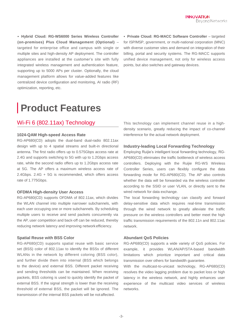● **Hybrid Cloud: RG-WS6000 Series Wireless Controller (on-premises) Plus Cloud Management (Optional)** – targeted for enterprise office and campus with single or multiple sites and high-density AP deployment. The controller appliances are installed at the customer's site with fully integrated wireless management and authentication feature, supporting up to 5000 APs per cluster. Optionally, the cloud management platform allows for value-added features like centralized device configuration and monitoring, AI radio (RF) optimization, reporting, etc.

### • Private Cloud: RG-MACC Software Controller - targeted for ISP/MSP, government, or multi-national corporation (MNC) with diverse customer sites and demand on integration of their billing, portal and security systems. The RG-MACC supports unified device management, not only for wireless access points, but also switches and gateway devices.

## **Product Features**

## Wi-Fi 6 (802.11ax) Technology

#### **1024-QAM High-speed Access Rate**

RG-AP680(CD) adopts the dual-band dual-radio 802.11ax design with up to 4 spatial streams and built-in directional antenna. The first radio offers up to 0.575Gbps access rate at 2.4G and supports switching to 5G with up to 1.2Gbps access rate, while the second radio offers up to 1.2Gbps access rate at 5G. The AP offers a maximum wireless access rate of 2.4Gbps. 2.4G + 5G is recommended, which offers access rate of 1.775Gbps.

#### **OFDMA High-density User Access**

RG-AP680(CD) supports OFDMA of 802.11ax, which divides the WLAN channel into multiple narrower subchannels, with each user occupying one or more subchannels. By scheduling multiple users to receive and send packets concurrently via the AP, user competition and back-off can be reduced, thereby reducing network latency and improving network efficiency.

#### **Spatial Reuse with BSS Color**

RG-AP680(CD) supports spatial reuse with basic service set (BSS) color of 802.11ax to identify the BSSs of different WLANs in the network by different coloring (BSS color), and further divide them into internal (BSS which belongs to the device) and external BSS. Different packet receiving and sending thresholds can be maintained. When receiving packets, BSS coloring is used to quickly identify the packet of external BSS. If the signal strength is lower than the receiving threshold of external BSS, the packet will be ignored. The transmission of the internal BSS packets will be notaffected.

This technology can implement channel reuse in a highdensity scenario, greatly reducing the impact of co-channel interference for the actual network deployment.

#### **Industry-leading Local Forwarding Technology**

Employing Ruijie's intelligent local forwarding technology, RG-AP680(CD) eliminates the traffic bottleneck of wireless access controllers. Deploying with the Ruijie RG-WS Wireless Controller Series, users can flexibly configure the data forwarding mode for RG-AP680(CD). The AP also controls whether the data will be forwarded via the wireless controller according to the SSID or user VLAN, or directly sent to the wired network for data exchange.

The local forwarding technology can classify and forward delay-sensitive data which requires real-time transmission through the wired network to greatly alleviate the traffic pressure on the wireless controllers and better meet the high traffic transmission requirements of the 802.11n and 802.11ac network.

#### **Abundant QoS Policies**

RG-AP680(CD) supports a wide variety of QoS policies. For example, it provides WLAN/AP/STA-based bandwidth limitations which prioritize important and critical data transmission over others for bandwidth guarantee.

With the multicast-to-unicast technology, RG-AP680(CD) resolves the video lagging problem due to packet loss or high latency in the wireless network, and highly enhances user experience of the multicast video services of wireless networks.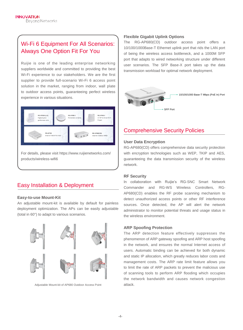## Wi-Fi 6 Equipment For All Scenarios: Always One Option Fit For You

Ruijie is one of the leading enterprise networking suppliers worldwide and committed to providing the best Wi-Fi experience to our stakeholders. We are the first supplier to provide full-scenario Wi-Fi 6 access point solution in the market, ranging from indoor, wall plate to outdoor access points, guaranteeing perfect wireless experience in various situations.



For details, please visi[t https://www.ruijienetworks.com/](http://www.ruijienetworks.com/) products/wireless-wifi6

## Easy Installation & Deployment

#### **Easy-to-use Mount-Kit**

An adjustable mount-kit is available by default for painless deployment optimization. The APs can be easily adjustable (total in 60°) to adapt to various scenarios.



Adjustable Mount-kit of AP680 Outdoor Access Point

#### **Flexible Gigabit Uplink Options**

The RG-AP680(CD) outdoor access point offers a 10/100/1000Base-T Ethernet uplink port that rids the LAN port of being the wireless access bottleneck, and a 1000M SFP port that adapts to wired networking structure under different user scenarios. The SFP Base-X port takes up the data transmission workload for optimal network deployment.



## Comprehensive Security Policies

#### **User Data Encryption**

RG-AP680(CD) offers comprehensive data security protection with encryption technologies such as WEP, TKIP and AES, guaranteeing the data transmission security of the wireless network.

#### **RF Security**

In collaboration with Ruijie's RG-SNC Smart Network Commander and RG-WS Wireless Controllers, RG-AP680(CD) enables the RF probe scanning mechanism to detect unauthorized access points or other RF interference sources. Once detected, the AP will alert the network administrator to monitor potential threats and usage status in the wireless environment.

#### **ARP Spoofing Protection**

The ARP detection feature effectively suppresses the phenomenon of ARP gateway spoofing and ARP host spoofing in the network, and ensures the normal Internet access of users. Automatic binding can be achieved for both dynamic and static IP allocation, which greatly reduces labor costs and management costs. The ARP rate limit feature allows you to limit the rate of ARP packets to prevent the malicious use of scanning tools to perform ARP flooding which occupies the network bandwidth and causes network congestion attack.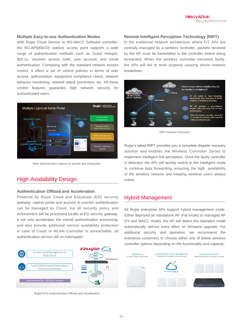#### **Multiple Easy-to-use Authentication Modes**

With Ruijie Cloud Service or RG-MACC Software controller, the RG-AP680(CD) outdoor access point supports a wide range of authentication methods such as Guest Hotspot, 802.1x, voucher/ access code, user account, and social authentication. Complying with the standard network access control, it offers a set of control policies in terms of user access, authorization, equipment compliance check, network behavior monitoring, network attack prevention, etc. All these control features guarantee high network security for authenticated users.



Multi authentication options for guests and employees

## High Availability Design

#### **Authentication Offload and Acceleration**

Powered by Ruijie Cloud and EasyGate (EG) security gateway, captive portal and account & voucher authentication can be managed by Cloud, but all security policy and enforcement will be processed locally at EG security gateway. It not only accelerates the overall authentication processing, and also provide additional service availability protection in case of Cloud or WLAN Controller is unreachable, all authentication service still un-interrupted.



Ruijie EG's Authentication Offload and Acceleration

#### **Remote Intelligent Perception Technology (RIPT)**

In the traditional network architecture where FIT APs are centrally managed by a wireless controller, packets received by the AP must be transmitted to the controller before being forwarded. When the wireless controller becomes faulty, the APs will fail to work properly causing whole network breakdown.



RIPT Disaster Recovery

Ruijie's latest RIPT provides you a complete disaster recovery solution and enables the Wireless Controller Series to implement intelligent link perception. Once the faulty controller is detected, the APs will quickly switch to the intelligent mode to continue data forwarding, ensuring the high availability of the wireless network and keeping wireless users always online.

#### Hybrid Management

All Ruijie enterprise APs support hybrid management mode. Either deployed as standalone AP (Fat mode) or managed AP (Fit and MACC mode), the AP will detect the operation mode automatically without extra effort on firmware upgrade. For additional security and operation, we recommend the enterprise customers to choose either one of below wireless controller options depending on the functionality and capacity:

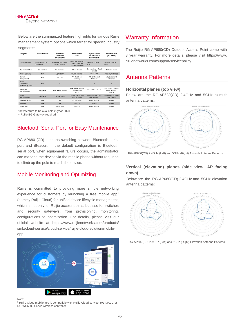Below are the summarized feature highlights for various Ruijie management system options which target for specific industry segments:

| Category                                  | <b>Standalone AP</b>            | Hardware<br>Controller<br>(RG-WS6000)  | <b>Ruilie Public</b><br>Cloud                             | <b>Hybrid Cloud*</b><br>(RG-WS6000 +<br><b>Ruijie Cloud)</b> | <b>Private Cloud</b><br>(RG-MACC)             |
|-------------------------------------------|---------------------------------|----------------------------------------|-----------------------------------------------------------|--------------------------------------------------------------|-----------------------------------------------|
| <b>Target Segment</b>                     | Small Office (<10<br>Employees) | Enterprise, Education,<br>Large Campus | Small and Medium-<br>sized Enterprise<br>(<500 Employees) | ISP/MSP. Gov. or<br><b>MNC</b>                               | ISP/MSP. Gov. or<br><b>MNC</b>                |
| Deployment Mode                           | On-premises                     | On-premises                            | Cloud Service                                             | On-premises + Cloud<br>Service                               | Software-based                                |
| <b>Device Capacity</b>                    | N/A                             | Up to 5000                             | <b>Virtually Unlimited</b>                                | Up to 5000                                                   | <b>Virtually Unlimited</b>                    |
| Unified<br>Management                     | N/A                             | AP only                                | AP. Switch and<br>Gateway                                 | AP. Switch and<br>Gateway                                    | AP. Switch and<br>Gateway                     |
| Radio<br>Optimization<br>(powered by WIS) | N/A                             | Y                                      | Y                                                         | Y                                                            | Y                                             |
| Employee<br>Authentication                | Basic PSK                       | PSK, PPSK, 802.1x                      | PSK, PPSK, Access<br>Code, Account,<br>802.1x             | <b>PSK. PPSK. 802.1x</b>                                     | PSK, PPSK, Access<br>Code, Account,<br>802.1x |
| Guest<br>Authentication                   | Basic PSK                       | <b>Captive Portal</b>                  | Captive Portal, One-<br>click. Voucher                    | Captive Portal, One-<br>click. Voucher**                     | Captive Portal, One-<br>click. Voucher        |
| Marketing Wi-Fi                           | N/A                             | N/A                                    | Coming Soon*                                              | Coming Soon*                                                 | Support                                       |
| Reporting                                 | N/A                             | N/A                                    | Support                                                   | Support                                                      | Support                                       |
| Mobile App                                | N/A                             | Coming Soon*                           | Support                                                   | Coming Soon*                                                 | Support                                       |

\*new feature to be available in year 2020

\*\*Ruijie EG Gateway required

## Bluetooth Serial Port for Easy Maintenance

RG-AP680 (CD) supports switching between Bluetooth serial port and iBeacon. If the default configuration is Bluetooth serial port, when equipment failure occurs, the administrator can manage the device via the mobile phone without requiring to climb up the pole to reach the device.

### Mobile Monitoring and Optimizing

Ruijie is committed to providing more simple networking experience for customers by launching a free mobile app<sup>1</sup> (namely Ruijie Cloud) for unified device lifecycle managmeent, which is not only for Ruijie access points, but also for switches and security gateways, from provisioning, monitoring, configurations to optimization. For details, please visit our official website at [https://www.ruijienetworks.com/products/](http://www.ruijienetworks.com/products/) smb/cloud-service/cloud-service/ruijie-cloud-solution/mobileapp



Note:

<sup>1</sup> Ruijie Cloud mobile app is compatible with Ruijie Cloud service, RG-MACC or RG-WS6000 Series wireless controller

## Warranty Information

The Ruijie RG-AP680(CD) Outdoor Access Point come with 3 year warranty. For more details, please visit [https://www.](http://www/) ruijienetworks.com/support/servicepolicy.

## Antenna Patterns

#### **Horizontal planes (top view)**

Below are the RG-AP680(CD) 2.4GHz and 5GHz azimuth antenna patterns:



RG-AP680(CD) 2.4GHz (Left) and 5GHz (Right) Azimuth Antenna Patterns

#### **Vertical (elevation) planes (side view, AP facing down)**

Below are the RG-AP680(CD) 2.4GHz and 5GHz elevation antenna patterns:



RG-AP680(CD) 2.4GHz (Left) and 5GHz (Right) Elevation Antenna Patterns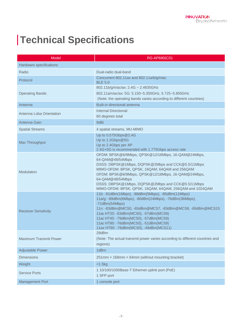# **Technical Specifications**

| <b>Model</b>                  | <b>RG-AP680(CD)</b>                                                                                          |
|-------------------------------|--------------------------------------------------------------------------------------------------------------|
| Hardware specifications       |                                                                                                              |
| Radio                         | Dual-radio dual-band                                                                                         |
| Protocol                      | Concurrent 802.11ax and 802.11a/b/g/n/ac<br><b>BLE 5.0</b>                                                   |
|                               | 802.11b/g/n/ac/ax: 2.4G ~ 2.4835GHz                                                                          |
| <b>Operating Bands</b>        | 802.11a/n/ac/ax: 5G: 5.150~5.350GHz, 5.725~5.850GHz                                                          |
| Antenna                       | (Note: the operating bands varies according to different countries)<br>Built-in directional antenna          |
|                               | Internal Directional:                                                                                        |
| Antenna Loba Orientation      | 60 degrees total                                                                                             |
| Antenna Gain                  | 9dBi                                                                                                         |
| <b>Spatial Streams</b>        | 4 spatial streams, MU-MIMO                                                                                   |
|                               | Up to 0.575Gbps@2.4G                                                                                         |
| <b>Max Throughput</b>         | Up to 1.2Gbps@5G<br>Up to 2.4Gbps per AP                                                                     |
|                               | 2.4G+5G is recommended with 1.775Gbps access rate                                                            |
|                               | OFDM: BPSK@6/9Mbps, QPSK@12/18Mbps, 16-QAM@24Mbps,                                                           |
|                               | 64-QAM@48/54Mbps                                                                                             |
|                               | DSSS: DBPSK@1Mbps, DQPSK@2Mbps and CCK@5.5/11Mbps<br>MIMO-OFDM: BPSK, QPSK, 16QAM, 64QAM and 256QAM          |
| Modulation                    | OFDM: BPSK@6/9Mbps, QPSK@12/18Mbps, 16-QAM@24Mbps,                                                           |
|                               | 64-QAM@48/54Mbps                                                                                             |
|                               | DSSS: DBPSK@1Mbps, DQPSK@2Mbps and CCK@5.5/11Mbps<br>MIMO-OFDM: BPSK, QPSK, 16QAM, 64QAM, 256QAM and 1024QAM |
|                               | 11b: -91dBm(1Mbps), -88dBm(5Mbps), -85dBm(11Mbps)                                                            |
|                               | 11a/g: -89dBm(6Mbps), -80dBm(24Mbps), -76dBm(36Mbps),                                                        |
|                               | -71dBm(54Mbps)<br>11n: -83dBm@MCS0, -65dBm@MCS7, -83dBm@MCS8, -65dBm@MCS15                                   |
| <b>Receiver Sensitivity</b>   | 11ac HT20: -83dBm(MCS0), -57dBm(MCS9)                                                                        |
|                               | 11ac HT40: -79dBm(MCS0), -57dBm(MCS9)                                                                        |
|                               | 11ac HT80: -76dBm(MCS0), -51dBm(MCS9)<br>11ax HT80: -76dBm(MCS0), -49dBm(MCS11)                              |
|                               | 28dBm                                                                                                        |
| <b>Maximum Transmit Power</b> | (Note: The actual transmit power varies according to different countries and                                 |
|                               | regions)                                                                                                     |
| <b>Adjustable Power</b>       | 1dBm                                                                                                         |
| <b>Dimensions</b>             | 251mm x 168mm x 64mm (without mounting bracket)                                                              |
| Weight                        | $<$ 1.5 $kg$                                                                                                 |
| <b>Service Ports</b>          | 1 10/100/1000Base-T Ethernet uplink port (PoE)                                                               |
|                               | 1 SFP port                                                                                                   |
| <b>Management Port</b>        | 1 console port                                                                                               |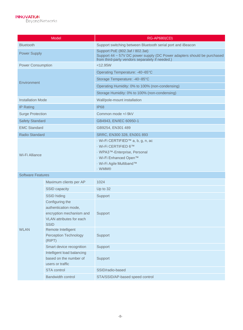## **INNOVATION**<br>Beyond Networks

| Model                    |                                                                                                                       | <b>RG-AP680(CD)</b>                                                                                                                                           |  |  |
|--------------------------|-----------------------------------------------------------------------------------------------------------------------|---------------------------------------------------------------------------------------------------------------------------------------------------------------|--|--|
| <b>Bluetooth</b>         |                                                                                                                       | Support switching between Bluetooth serial port and iBeacon                                                                                                   |  |  |
| <b>Power Supply</b>      |                                                                                                                       | Support PoE (802.3af / 802.3at)<br>Support 44 ~ 57V DC power supply (DC Power adapters should be purchased<br>from third-party vendors separately if needed.) |  |  |
| <b>Power Consumption</b> |                                                                                                                       | $<$ 12.95W                                                                                                                                                    |  |  |
|                          |                                                                                                                       | Operating Temperature: -40~65°C                                                                                                                               |  |  |
|                          |                                                                                                                       | Storage Temperature: -40~85°C                                                                                                                                 |  |  |
| Environment              |                                                                                                                       | Operating Humidity: 0% to 100% (non-condensing)                                                                                                               |  |  |
|                          |                                                                                                                       | Storage Humidity: 0% to 100% (non-condensing)                                                                                                                 |  |  |
| <b>Installation Mode</b> |                                                                                                                       | Wall/pole-mount installation                                                                                                                                  |  |  |
| <b>IP Rating</b>         |                                                                                                                       | <b>IP68</b>                                                                                                                                                   |  |  |
| <b>Surge Protection</b>  |                                                                                                                       | Common mode +/-9kV                                                                                                                                            |  |  |
| <b>Safety Standard</b>   |                                                                                                                       | GB4943, EN/IEC 60950-1                                                                                                                                        |  |  |
| <b>EMC Standard</b>      |                                                                                                                       | GB9254, EN301 489                                                                                                                                             |  |  |
| Radio Standard           |                                                                                                                       | SRRC, EN300 328, EN301 893                                                                                                                                    |  |  |
| <b>Wi-Fi Alliance</b>    |                                                                                                                       | · Wi-Fi CERTIFIED™ a, b, g, n, ac<br>· Wi-Fi CERTIFIED 6™<br>· WPA3™-Enterprise, Personal<br>· Wi-Fi Enhanced Open™<br>· Wi-Fi Agile Multiband™<br>. WMM®     |  |  |
| <b>Software Features</b> |                                                                                                                       |                                                                                                                                                               |  |  |
|                          | Maximum clients per AP                                                                                                | 1024                                                                                                                                                          |  |  |
|                          | <b>SSID capacity</b>                                                                                                  | Up to 32                                                                                                                                                      |  |  |
| <b>WLAN</b>              | SSID hiding                                                                                                           | Support                                                                                                                                                       |  |  |
|                          | Configuring the<br>authentication mode,<br>encryption mechanism and<br><b>VLAN</b> attributes for each<br><b>SSID</b> | Support                                                                                                                                                       |  |  |
|                          | Remote Intelligent<br><b>Perception Technology</b><br>(RIPT)                                                          | Support                                                                                                                                                       |  |  |
|                          | Smart device recognition                                                                                              | Support                                                                                                                                                       |  |  |
|                          | Intelligent load balancing<br>based on the number of<br>users or traffic                                              | Support                                                                                                                                                       |  |  |
|                          | <b>STA</b> control                                                                                                    | SSID/radio-based                                                                                                                                              |  |  |
|                          | Bandwidth control                                                                                                     | STA/SSID/AP-based speed control                                                                                                                               |  |  |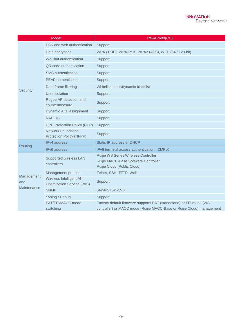|                                             | <b>Model</b>                                                 | <b>RG-AP680(CD)</b>                                                                                                                          |
|---------------------------------------------|--------------------------------------------------------------|----------------------------------------------------------------------------------------------------------------------------------------------|
| <b>Security</b>                             | PSK and web authentication                                   | Support                                                                                                                                      |
|                                             | Data encryption                                              | WPA (TKIP), WPA-PSK, WPA2 (AES), WEP (64 / 128-bit)                                                                                          |
|                                             | WeChat authentication                                        | Support                                                                                                                                      |
|                                             | QR code authentication                                       | Support                                                                                                                                      |
|                                             | <b>SMS</b> authentication                                    | Support                                                                                                                                      |
|                                             | PEAP authentication                                          | Support                                                                                                                                      |
|                                             | Data frame filtering                                         | Whitelist, static/dynamic blacklist                                                                                                          |
|                                             | User isolation                                               | Support                                                                                                                                      |
|                                             | Rogue AP detection and<br>countermeasure                     | Support                                                                                                                                      |
|                                             | Dynamic ACL assignment                                       | Support                                                                                                                                      |
|                                             | <b>RADIUS</b>                                                | Support                                                                                                                                      |
|                                             | <b>CPU Protection Policy (CPP)</b>                           | Support                                                                                                                                      |
|                                             | <b>Network Foundation</b><br>Protection Policy (NFPP)        | Support                                                                                                                                      |
| Routing<br>Management<br>and<br>Maintenance | <b>IPv4</b> address                                          | Static IP address or DHCP                                                                                                                    |
|                                             | <b>IPv6</b> address                                          | IPv6 terminal access authentication, ICMPv6                                                                                                  |
|                                             | Supported wireless LAN<br>controllers                        | Ruijie WS Series Wireless Controller<br>Ruijie MACC-Base Software Controller<br>Ruijie Cloud (Public Cloud)                                  |
|                                             | Management protocol                                          | Telnet, SSH, TFTP, Web                                                                                                                       |
|                                             | Wireless Intelligent AI<br><b>Optimization Service (WIS)</b> | Support                                                                                                                                      |
|                                             | <b>SNMP</b>                                                  | SNMPV1, V2c, V3                                                                                                                              |
|                                             | Syslog / Debug                                               | Support                                                                                                                                      |
|                                             | FAT/FIT/MACC mode<br>switching                               | Factory default firmware supports FAT (standalone) or FIT mode (WS<br>controller) or MACC mode (Ruijie MACC-Base or Ruijie Cloud) management |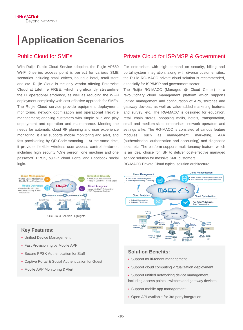# **Application Scenarios**

## Public Cloud for SMEs

With Ruijie Public Cloud Service adoption, the Ruijie AP680 Wi-Fi 6 series access point is perfect for various SME scenarios including small offices, boutique hotel, retail store and etc. Ruijie Cloud is the only vendor offering Enterprise Cloud at Lifetime FREE, which significantly streamline the IT operational efficiency, as well as reducing the Wi-Fi deployment complexity with cost effective approach for SMEs. The Ruijie Cloud service provide equipment deployment, monitoring, network optimization and operational lifecycle management; enabling customers with simple plug and play deployment and operation and maintenance. Meeting the needs for automatic cloud RF planning and user experience monitoring, it also supports mobile monitoring and alert, and fast provisioning by QR-Code scanning. At the same time, it provides flexible wireless user access control features, including high security "One person, one machine and one password" PPSK, built-in cloud Portal and Facebook social login.



Ruijie Cloud Solution Highlights

### **Key Features:**

- Unified Device Management
- Fast Provisioning by Mobile APP
- Secure PPSK Authentication for Staff
- Captive Portal & Social Authentication for Guest
- Mobile APP Monitoring & Alert

### Private Cloud for ISP/MSP & Government

For enterprises with high demand on security, billing and portal system integration, along with diverse customer sites, the Ruilie RG-MACC private cloud solution is recommended. especially for ISP/MSP and government sector.

The Ruijie RG-MACC (Managed @ Cloud Center) is a revolutionary cloud management platform which supports unified management and configuration of APs, switches and gateway devices, as well as value-added marketing features and survey, etc. The RG-MACC is designed for education, retail chain stores, shopping malls, hotels, transportation, small and medium-sized enterprises, network operators and settings alike. The RG-MACC is consisted of various feature modules, such as management, marketing, AAA (authentication, authorization and accounting) and diagnostic tools, etc. The platform supports multi-tenancy feature, which is an ideal choice for ISP to deliver cost-effective managed service solution for massive SME customers.

RG-MACC Private Cloud typical solution architecture:



#### **Solution Benefits:**

- Support multi-tenant management
- Support cloud computing virtualization deployment
- Support unified networking device management,
- including access points, switches and gateway devices
- Support mobile app management
- Open API available for 3rd party integration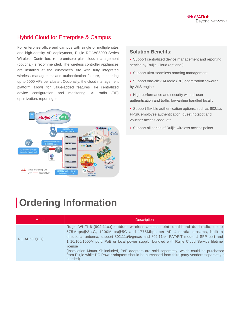## Hybrid Cloud for Enterprise & Campus

For enterprise office and campus with single or multiple sites and high-density AP deployment, Ruijie RG-WS6000 Series Wireless Controllers (on-premises) plus cloud management (optional) is recommended. The wireless controller appliances are installed at the customer's site with fully integrated wireless management and authentication feature, supporting up to 5000 APs per cluster. Optionally, the cloud management platform allows for value-added features like centralized device configuration and monitoring, AI radio (RF) optimization, reporting, etc.



#### **Solution Benefits:**

- Support centralized device management and reporting service by Ruijie Cloud (optional)
- Support ultra-seamless roaming management
- Support one-click AI radio (RF) optimization powered by WIS engine
- High performance and security with all user authentication and traffic forwarding handled locally
- Support flexible authentication options, such as 802.1x, PPSK employee authentication, guest hotspot and voucher access code, etc.
- Support all series of Ruijie wireless access points

## **Ordering Information**

| <b>RG-AP680(CD)</b><br>license | Model | <b>Description</b>                                                                                                                                                                                                                                                                                                                                                                                                                                                                                                                                             |
|--------------------------------|-------|----------------------------------------------------------------------------------------------------------------------------------------------------------------------------------------------------------------------------------------------------------------------------------------------------------------------------------------------------------------------------------------------------------------------------------------------------------------------------------------------------------------------------------------------------------------|
| needed)                        |       | Ruijie Wi-Fi 6 (802.11ax) outdoor wireless access point, dual-band dual-radio, up to<br>575Mbps@2.4G, 1200Mbps@5G and 1775Mbps per AP, 4 spatial streams, built-in<br>directional antenna, support 802.11a/b/g/n/ac and 802.11ax, FAT/FIT mode, 1 SFP port and<br>1 10/100/1000M port, PoE or local power supply, bundled with Ruijie Cloud Service lifetime<br>(Installation Mount-Kit included, PoE adapters are sold separately, which could be purchased<br>from Ruijie while DC Power adapters should be purchased from third-party vendors separately if |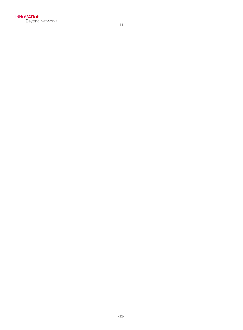**INNOVATION**<br>Beyond Networks